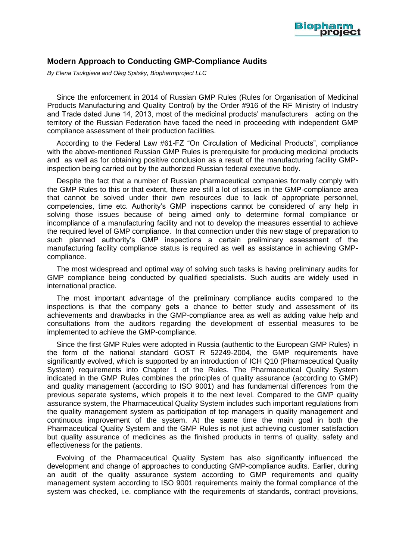

## **Modern Approach to Conducting GMP-Compliance Audits**

*By Elena Tsukgieva and Oleg Spitsky, Biopharmproject LLC*

Since the enforcement in 2014 of Russian GMP Rules (Rules for Organisation of Medicinal Products Manufacturing and Quality Control) by the Order #916 of the RF Ministry of Industry and Trade dated June 14, 2013, most of the medicinal products' manufacturers acting on the territory of the Russian Federation have faced the need in proceeding with independent GMP compliance assessment of their production facilities.

According to the Federal Law #61-FZ "On Circulation of Medicinal Products", compliance with the above-mentioned Russian GMP Rules is prerequisite for producing medicinal products and as well as for obtaining positive conclusion as a result of the manufacturing facility GMPinspection being carried out by the authorized Russian federal executive body.

Despite the fact that a number of Russian pharmaceutical companies formally comply with the GMP Rules to this or that extent, there are still a lot of issues in the GMP-compliance area that cannot be solved under their own resources due to lack of appropriate personnel, competencies, time etc. Authority's GMP inspections cannot be considered of any help in solving those issues because of being aimed only to determine formal compliance or incompliance of a manufacturing facility and not to develop the measures essential to achieve the required level of GMP compliance. In that connection under this new stage of preparation to such planned authority's GMP inspections a certain preliminary assessment of the manufacturing facility compliance status is required as well as assistance in achieving GMPcompliance.

The most widespread and optimal way of solving such tasks is having preliminary audits for GMP compliance being conducted by qualified specialists. Such audits are widely used in international practice.

The most important advantage of the preliminary compliance audits compared to the inspections is that the company gеts a chance to better study and assessment of its achievements and drawbacks in the GMP-compliance area as well as adding value help and consultations from the auditors regarding the development of essential measures to be implemented to achieve the GMP-compliance.

Since the first GMP Rules were adopted in Russia (authentic to the European GMP Rules) in the form of the national standard GOST R 52249-2004, the GMP requirements have significantly evolved, which is supported by an introduction of ICH Q10 (Pharmaceutical Quality System) requirements into Chapter 1 of the Rules. The Pharmaceutical Quality System indicated in the GMP Rules combines the principles of quality assurance (according to GMP) and quality management (according to ISO 9001) and has fundamental differences from the previous separate systems, which propels it to the next level. Compared to the GMP quality assurance system, the Pharmaceutical Quality System includes such important regulations from the quality management system as participation of top managers in quality management and continuous improvement of the system. At the same time the main goal in both the Pharmaceutical Quality System and the GMP Rules is not just achieving customer satisfaction but quality assurance of medicines as the finished products in terms of quality, safety and effectiveness for the patients.

Evolving of the Pharmaceutical Quality System has also significantly influenced the development and change of approaches to conducting GMP-compliance audits. Earlier, during an audit of the quality assurance system according to GMP requirements and quality management system according to ISO 9001 requirements mainly the formal compliance of the system was checked, i.e. compliance with the requirements of standards, contract provisions,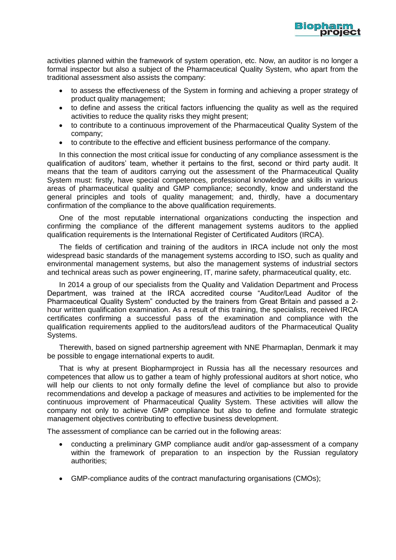

activities planned within the framework of system operation, etc. Now, an auditor is no longer a formal inspector but also a subject of the Pharmaceutical Quality System, who apart from the traditional assessment also assists the company:

- to assess the effectiveness of the System in forming and achieving a proper strategy of product quality management;
- to define and assess the critical factors influencing the quality as well as the required activities to reduce the quality risks they might present;
- to contribute to a continuous improvement of the Pharmaceutical Quality System of the company;
- to contribute to the effective and efficient business performance of the company.

In this connection the most critical issue for conducting of any compliance assessment is the qualification of auditors' team, whether it pertains to the first, second or third party audit. It means that the team of auditors carrying out the assessment of the Pharmaceutical Quality System must: firstly, have special competences, professional knowledge and skills in various areas of pharmaceutical quality and GMP compliance; secondly, know and understand the general principles and tools of quality management; and, thirdly, have a documentary confirmation of the compliance to the above qualification requirements.

One of the most reputable international organizations conducting the inspection and confirming the compliance of the different management systems auditors to the applied qualification requirements is the International Register of Certificated Auditors (IRCA).

The fields of certification and training of the auditors in IRCA include not only the most widespread basic standards of the management systems according to ISO, such as quality and environmental management systems, but also the management systems of industrial sectors and technical areas such as power engineering, IT, marine safety, pharmaceutical quality, etc.

In 2014 a group of our specialists from the Quality and Validation Department and Process Department, was trained at the IRCA accredited course "Auditor/Lead Auditor of the Pharmaceutical Quality System" conducted by the trainers from Great Britain and passed a 2 hour written qualification examination. As a result of this training, the specialists, received IRCA certificates confirming a successful pass of the examination and compliance with the qualification requirements applied to the auditors/lead auditors of the Pharmaceutical Quality Systems.

Therewith, based on signed partnership agreement with NNE Pharmaplan, Denmark it may be possible to engage international experts to audit.

That is why at present Biopharmproject in Russia has all the necessary resources and competences that allow us to gather a team of highly professional auditors at short notice, who will help our clients to not only formally define the level of compliance but also to provide recommendations and develop a package of measures and activities to be implemented for the continuous improvement of Pharmaceutical Quality System. These activities will allow the company not only to achieve GMP compliance but also to define and formulate strategic management objectives contributing to effective business development.

The assessment of compliance can be carried out in the following areas:

- conducting a preliminary GMP compliance audit and/or gap-assessment of a company within the framework of preparation to an inspection by the Russian regulatory authorities;
- GMP-compliance audits of the contract manufacturing organisations (CMOs);